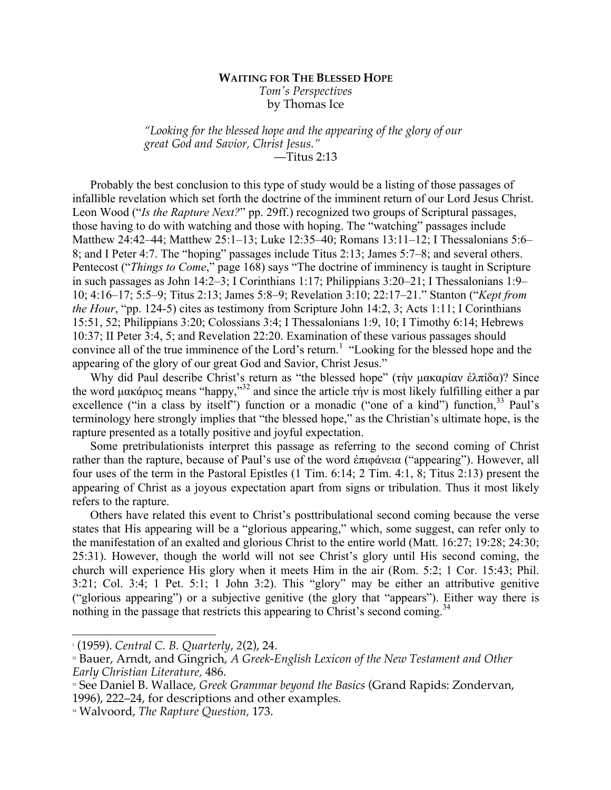## **WAITING FOR THE BLESSED HOPE** *Tom's Perspectives* by Thomas Ice

*"Looking for the blessed hope and the appearing of the glory of our great God and Savior, Christ Jesus."* —Titus 2:13

Probably the best conclusion to this type of study would be a listing of those passages of infallible revelation which set forth the doctrine of the imminent return of our Lord Jesus Christ. Leon Wood ("*Is the Rapture Next?*" pp. 29ff.) recognized two groups of Scriptural passages, those having to do with watching and those with hoping. The "watching" passages include Matthew 24:42–44; Matthew 25:1–13; Luke 12:35–40; Romans 13:11–12; I Thessalonians 5:6– 8; and I Peter 4:7. The "hoping" passages include Titus 2:13; James 5:7–8; and several others. Pentecost ("*Things to Come*," page 168) says "The doctrine of imminency is taught in Scripture in such passages as John 14:2–3; I Corinthians 1:17; Philippians 3:20–21; I Thessalonians 1:9– 10; 4:16–17; 5:5–9; Titus 2:13; James 5:8–9; Revelation 3:10; 22:17–21." Stanton ("*Kept from the Hour*, "pp. 124-5) cites as testimony from Scripture John 14:2, 3; Acts 1:11; I Corinthians 15:51, 52; Philippians 3:20; Colossians 3:4; I Thessalonians 1:9, 10; I Timothy 6:14; Hebrews 10:37; II Peter 3:4, 5; and Revelation 22:20. Examination of these various passages should convince all of the true imminence of the Lord's return.<sup>1</sup> "Looking for the blessed hope and the appearing of the glory of our great God and Savior, Christ Jesus."

Why did Paul describe Christ's return as "the blessed hope" (τὴν µακαρίαν ἐλπίδα)? Since the word µακάριος means "happy,"<sup>32</sup> and since the article τήν is most likely fulfilling either a par excellence ("in a class by itself") function or a monadic ("one of a kind") function,<sup>33</sup> Paul's terminology here strongly implies that "the blessed hope," as the Christian's ultimate hope, is the rapture presented as a totally positive and joyful expectation.

Some pretribulationists interpret this passage as referring to the second coming of Christ rather than the rapture, because of Paul's use of the word ἐπιφάνεια ("appearing"). However, all four uses of the term in the Pastoral Epistles (1 Tim. 6:14; 2 Tim. 4:1, 8; Titus 2:13) present the appearing of Christ as a joyous expectation apart from signs or tribulation. Thus it most likely refers to the rapture.

Others have related this event to Christ's posttribulational second coming because the verse states that His appearing will be a "glorious appearing," which, some suggest, can refer only to the manifestation of an exalted and glorious Christ to the entire world (Matt. 16:27; 19:28; 24:30; 25:31). However, though the world will not see Christ's glory until His second coming, the church will experience His glory when it meets Him in the air (Rom. 5:2; 1 Cor. 15:43; Phil. 3:21; Col. 3:4; 1 Pet. 5:1; 1 John 3:2). This "glory" may be either an attributive genitive ("glorious appearing") or a subjective genitive (the glory that "appears"). Either way there is nothing in the passage that restricts this appearing to Christ's second coming.<sup>34</sup>

 <sup>1</sup> (1959). *Central C. B. Quarterly*, *2*(2), 24.

<sup>32</sup> Bauer, Arndt, and Gingrich, *A Greek-English Lexicon of the New Testament and Other Early Christian Literature,* 486.

<sup>33</sup> See Daniel B. Wallace, *Greek Grammar beyond the Basics* (Grand Rapids: Zondervan, 1996), 222–24, for descriptions and other examples.

<sup>34</sup> Walvoord, *The Rapture Question,* 173.